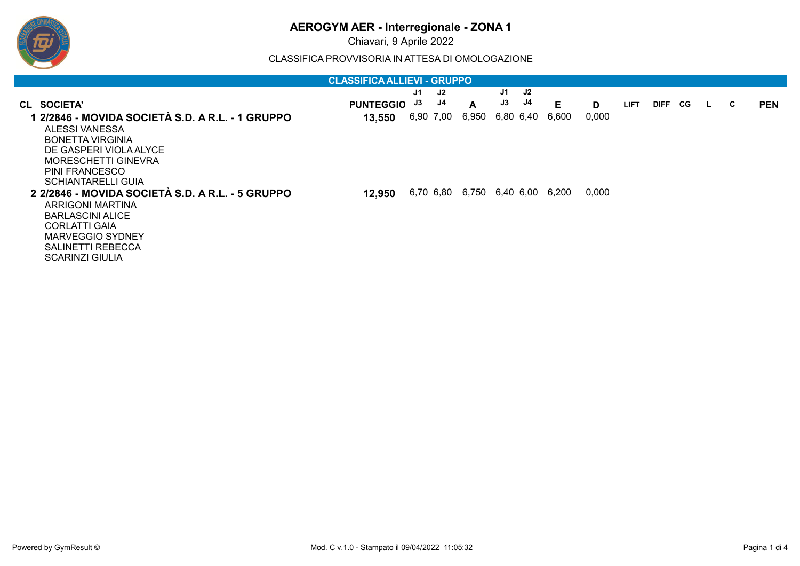# **AEROGYM AER - Interregionale - ZONA 1**

Chiavari, 9 Aprile 2022

CLASSIFICA PROVVISORIA IN ATTESA DI OMOLOGAZIONE

| <b>CLASSIFICA ALLIEVI - GRUPPO</b>               |                  |    |           |                                 |    |           |       |       |             |         |  |              |   |            |
|--------------------------------------------------|------------------|----|-----------|---------------------------------|----|-----------|-------|-------|-------------|---------|--|--------------|---|------------|
|                                                  |                  | J1 | J2        |                                 | J1 | <b>J2</b> |       |       |             |         |  |              |   |            |
| CL SOCIETA'                                      | <b>PUNTEGGIO</b> | J3 | J4        | $\mathbf{A}$                    | J3 | J4        | Е     | D     | <b>LIFT</b> | DIFF CG |  | $\mathbf{L}$ | C | <b>PEN</b> |
| 1 2/2846 - MOVIDA SOCIETÀ S.D. A R.L. - 1 GRUPPO | 13,550           |    | 6,90 7,00 | 6,950                           |    | 6,80 6,40 | 6,600 | 0,000 |             |         |  |              |   |            |
| ALESSI VANESSA                                   |                  |    |           |                                 |    |           |       |       |             |         |  |              |   |            |
| <b>BONETTA VIRGINIA</b>                          |                  |    |           |                                 |    |           |       |       |             |         |  |              |   |            |
| DE GASPERI VIOLA ALYCE                           |                  |    |           |                                 |    |           |       |       |             |         |  |              |   |            |
| <b>MORESCHETTI GINEVRA</b>                       |                  |    |           |                                 |    |           |       |       |             |         |  |              |   |            |
| PINI FRANCESCO                                   |                  |    |           |                                 |    |           |       |       |             |         |  |              |   |            |
| <b>SCHIANTARELLI GUIA</b>                        |                  |    |           |                                 |    |           |       |       |             |         |  |              |   |            |
| 2 2/2846 - MOVIDA SOCIETÀ S.D. A R.L. - 5 GRUPPO | 12,950           |    |           | 6,70 6,80 6,750 6,40 6,00 6,200 |    |           |       | 0,000 |             |         |  |              |   |            |
| ARRIGONI MARTINA                                 |                  |    |           |                                 |    |           |       |       |             |         |  |              |   |            |
| <b>BARLASCINI ALICE</b>                          |                  |    |           |                                 |    |           |       |       |             |         |  |              |   |            |
| <b>CORLATTI GAIA</b>                             |                  |    |           |                                 |    |           |       |       |             |         |  |              |   |            |
| <b>MARVEGGIO SYDNEY</b>                          |                  |    |           |                                 |    |           |       |       |             |         |  |              |   |            |
| SALINETTI REBECCA                                |                  |    |           |                                 |    |           |       |       |             |         |  |              |   |            |
| <b>SCARINZI GIULIA</b>                           |                  |    |           |                                 |    |           |       |       |             |         |  |              |   |            |

ஒ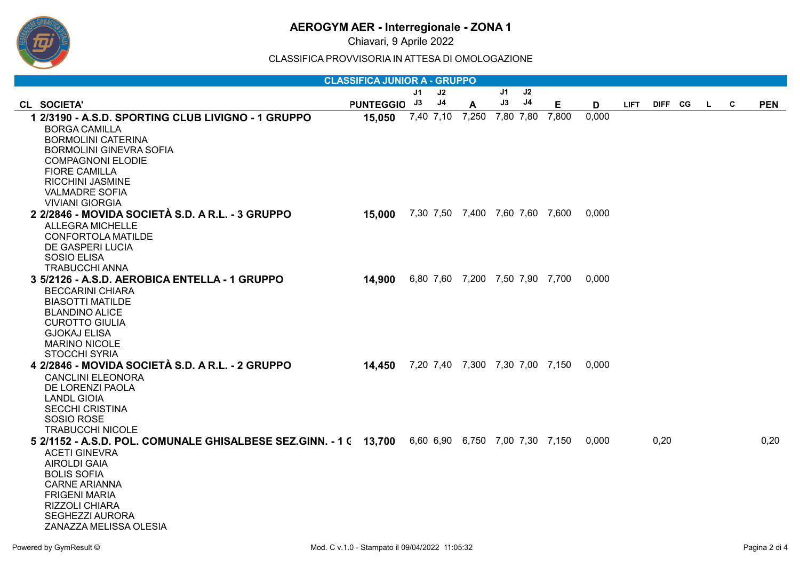# **AEROGYM AER - Interregionale - ZONA 1**

Chiavari, 9 Aprile 2022

CLASSIFICA PROVVISORIA IN ATTESA DI OMOLOGAZIONE

| <b>CLASSIFICA JUNIOR A - GRUPPO</b>                                                                                                                                                                                                                                 |              |    |                |                                 |    |                |       |       |             |         |  |              |   |            |
|---------------------------------------------------------------------------------------------------------------------------------------------------------------------------------------------------------------------------------------------------------------------|--------------|----|----------------|---------------------------------|----|----------------|-------|-------|-------------|---------|--|--------------|---|------------|
|                                                                                                                                                                                                                                                                     |              | J1 | J2             |                                 | J1 | J <sub>2</sub> |       |       |             |         |  |              |   |            |
| CL SOCIETA'                                                                                                                                                                                                                                                         | PUNTEGGIO J3 |    | J <sub>4</sub> | A                               | J3 | J <sub>4</sub> | E     | D     | <b>LIFT</b> | DIFF CG |  | $\mathbf{L}$ | C | <b>PEN</b> |
| 1 2/3190 - A.S.D. SPORTING CLUB LIVIGNO - 1 GRUPPO<br><b>BORGA CAMILLA</b><br><b>BORMOLINI CATERINA</b><br><b>BORMOLINI GINEVRA SOFIA</b><br><b>COMPAGNONI ELODIE</b><br><b>FIORE CAMILLA</b>                                                                       | 15,050       |    | 7,40 7,10      | 7,250                           |    | 7,80 7,80      | 7,800 | 0,000 |             |         |  |              |   |            |
| RICCHINI JASMINE<br><b>VALMADRE SOFIA</b><br><b>VIVIANI GIORGIA</b><br>2 2/2846 - MOVIDA SOCIETÀ S.D. A R.L. - 3 GRUPPO<br><b>ALLEGRA MICHELLE</b>                                                                                                                  | 15,000       |    |                | 7,30 7,50 7,400 7,60 7,60 7,600 |    |                |       | 0,000 |             |         |  |              |   |            |
| <b>CONFORTOLA MATILDE</b><br>DE GASPERI LUCIA<br>SOSIO ELISA<br><b>TRABUCCHI ANNA</b>                                                                                                                                                                               |              |    |                |                                 |    |                |       |       |             |         |  |              |   |            |
| 3 5/2126 - A.S.D. AEROBICA ENTELLA - 1 GRUPPO<br><b>BECCARINI CHIARA</b><br><b>BIASOTTI MATILDE</b><br><b>BLANDINO ALICE</b><br><b>CUROTTO GIULIA</b><br><b>GJOKAJ ELISA</b><br><b>MARINO NICOLE</b><br><b>STOCCHI SYRIA</b>                                        | 14,900       |    |                | 6,80 7,60 7,200 7,50 7,90 7,700 |    |                |       | 0,000 |             |         |  |              |   |            |
| 4 2/2846 - MOVIDA SOCIETÀ S.D. A R.L. - 2 GRUPPO<br><b>CANCLINI ELEONORA</b><br>DE LORENZI PAOLA<br><b>LANDL GIOIA</b><br><b>SECCHI CRISTINA</b><br>SOSIO ROSE<br><b>TRABUCCHI NICOLE</b>                                                                           | 14,450       |    |                | 7,20 7,40 7,300 7,30 7,00 7,150 |    |                |       | 0,000 |             |         |  |              |   |            |
| 5 2/1152 - A.S.D. POL. COMUNALE GHISALBESE SEZ.GINN. - 1 ( 13,700<br><b>ACETI GINEVRA</b><br><b>AIROLDI GAIA</b><br><b>BOLIS SOFIA</b><br><b>CARNE ARIANNA</b><br><b>FRIGENI MARIA</b><br><b>RIZZOLI CHIARA</b><br><b>SEGHEZZI AURORA</b><br>ZANAZZA MELISSA OLESIA |              |    |                | 6,60 6,90 6,750 7,00 7,30 7,150 |    |                |       | 0.000 |             | 0,20    |  |              |   | 0,20       |

ஒ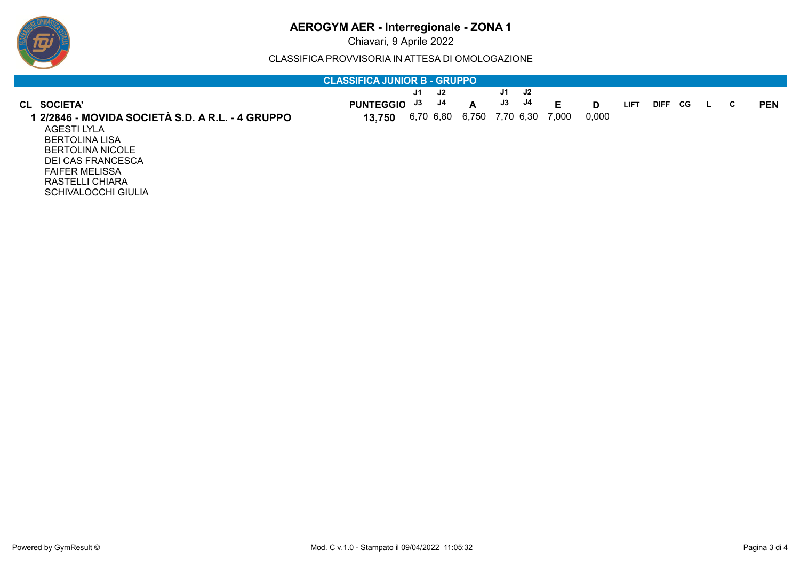# ஒ

# **AEROGYM AER - Interregionale - ZONA 1**

Chiavari, 9 Aprile 2022

CLASSIFICA PROVVISORIA IN ATTESA DI OMOLOGAZIONE

| <b>CLASSIFICA JUNIOR B - GRUPPO</b>              |                  |    |           |                 |    |    |       |       |             |             |     |  |    |            |
|--------------------------------------------------|------------------|----|-----------|-----------------|----|----|-------|-------|-------------|-------------|-----|--|----|------------|
|                                                  |                  | J1 | J2        |                 | J1 | J2 |       |       |             |             |     |  |    |            |
| CL SOCIETA'                                      | <b>PUNTEGGIO</b> | J3 | J4        | A               | J3 | J4 | Е     | D     | <b>LIFT</b> | <b>DIFF</b> | CG. |  | C. | <b>PEN</b> |
| 1 2/2846 - MOVIDA SOCIETÀ S.D. A R.L. - 4 GRUPPO | 13,750           |    | 6,70 6,80 | 6,750 7,70 6,30 |    |    | 7,000 | 0,000 |             |             |     |  |    |            |
| AGESTI LYLA                                      |                  |    |           |                 |    |    |       |       |             |             |     |  |    |            |
| <b>BERTOLINA LISA</b>                            |                  |    |           |                 |    |    |       |       |             |             |     |  |    |            |
| BERTOLINA NICOLE                                 |                  |    |           |                 |    |    |       |       |             |             |     |  |    |            |
| <b>DEI CAS FRANCESCA</b>                         |                  |    |           |                 |    |    |       |       |             |             |     |  |    |            |
| <b>FAIFER MELISSA</b>                            |                  |    |           |                 |    |    |       |       |             |             |     |  |    |            |
| <b>RASTELLI CHIARA</b>                           |                  |    |           |                 |    |    |       |       |             |             |     |  |    |            |
| <b>SCHIVALOCCHI GIULIA</b>                       |                  |    |           |                 |    |    |       |       |             |             |     |  |    |            |
|                                                  |                  |    |           |                 |    |    |       |       |             |             |     |  |    |            |